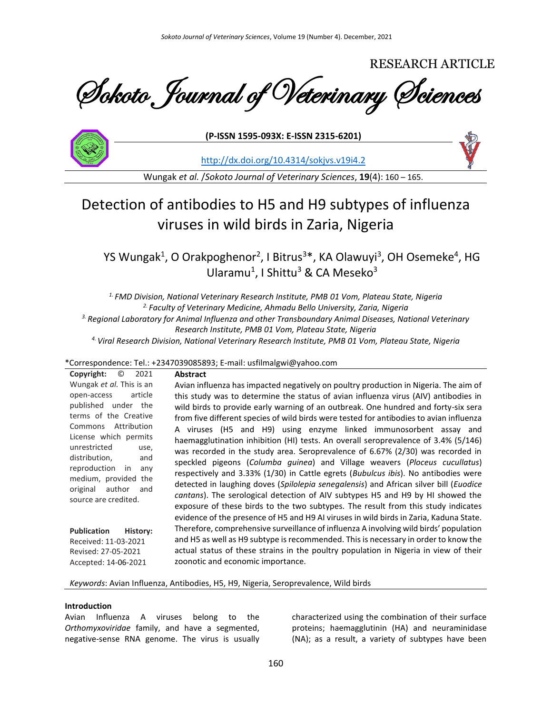RESEARCH ARTICLE

Sokoto Journal of Veterinary Sciences



**(P-ISSN 1595-093X: E-ISSN 2315-6201)**

<http://dx.doi.org/10.4314/sokjvs.v19i4.2>

Wungak *et al.* /*Sokoto Journal of Veterinary Sciences*, **19**(4): 160 – 165.

# Detection of antibodies to H5 and H9 subtypes of influenza viruses in wild birds in Zaria, Nigeria

YS Wungak<sup>1</sup>, O Orakpoghenor<sup>2</sup>, I Bitrus<sup>3\*</sup>, KA Olawuyi<sup>3</sup>, OH Osemeke<sup>4</sup>, HG Ularamu<sup>1</sup>, I Shittu<sup>3</sup> & CA Meseko<sup>3</sup>

*1. FMD Division, National Veterinary Research Institute, PMB 01 Vom, Plateau State, Nigeria 2. Faculty of Veterinary Medicine, Ahmadu Bello University, Zaria, Nigeria 3. Regional Laboratory for Animal Influenza and other Transboundary Animal Diseases, National Veterinary Research Institute, PMB 01 Vom, Plateau State, Nigeria 4. Viral Research Division, National Veterinary Research Institute, PMB 01 Vom, Plateau State, Nigeria*

# \*Correspondence: Tel.: +2347039085893; E-mail: usfilmalgwi@yahoo.com

**Copyright:** © 2021 Wungak *et al.* This is an open-access article published under the terms of the Creative Commons Attribution License which permits unrestricted use, distribution, and reproduction in any medium, provided the original author and source are credited. **Publication History:**  Received: 11-03-2021 Revised: 27-05-2021 Accepted: 14-06-2021 **Abstract** Avian influenza has impacted negatively on poultry production in Nigeria. The aim of this study was to determine the status of avian influenza virus (AIV) antibodies in wild birds to provide early warning of an outbreak. One hundred and forty-six sera from five different species of wild birds were tested for antibodies to avian influenza A viruses (H5 and H9) using enzyme linked immunosorbent assay and haemagglutination inhibition (HI) tests. An overall seroprevalence of 3.4% (5/146) was recorded in the study area. Seroprevalence of 6.67% (2/30) was recorded in speckled pigeons (*Columba guinea*) and Village weavers (*Ploceus cucullatus*) respectively and 3.33% (1/30) in Cattle egrets (*Bubulcus ibis*). No antibodies were detected in laughing doves (*Spilolepia senegalensis*) and African silver bill (*Euodice cantans*). The serological detection of AIV subtypes H5 and H9 by HI showed the exposure of these birds to the two subtypes. The result from this study indicates evidence of the presence of H5 and H9 AI viruses in wild birds in Zaria, Kaduna State. Therefore, comprehensive surveillance of influenza A involving wild birds' population and H5 as well as H9 subtype is recommended. This is necessary in order to know the actual status of these strains in the poultry population in Nigeria in view of their zoonotic and economic importance.

*Keywords*: Avian Influenza, Antibodies, H5, H9, Nigeria, Seroprevalence, Wild birds

### **Introduction**

Avian Influenza A viruses belong to the *Orthomyxoviridae* family, and have a segmented, negative-sense RNA genome. The virus is usually characterized using the combination of their surface proteins; haemagglutinin (HA) and neuraminidase (NA); as a result, a variety of subtypes have been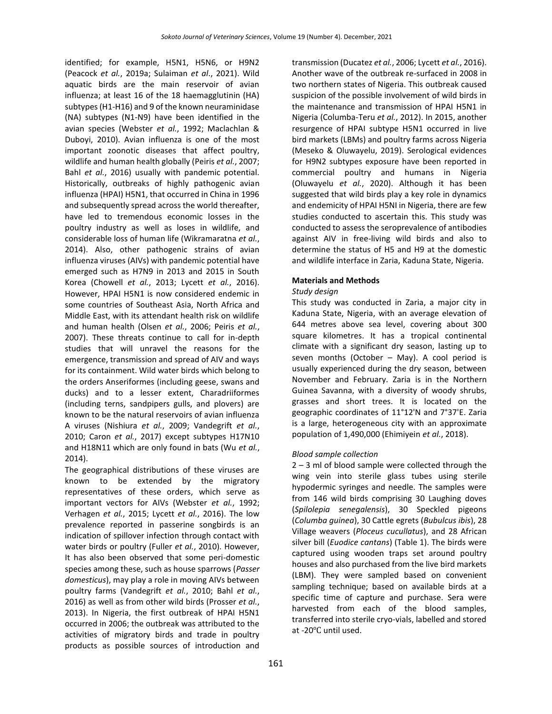identified; for example, H5N1, H5N6, or H9N2 (Peacock *et al.*, 2019a; Sulaiman *et al*., 2021). Wild aquatic birds are the main reservoir of avian influenza; at least 16 of the 18 haemagglutinin (HA) subtypes (H1-H16) and 9 of the known neuraminidase (NA) subtypes (N1-N9) have been identified in the avian species (Webster *et al.*, 1992; Maclachlan & Duboyi, 2010). Avian influenza is one of the most important zoonotic diseases that affect poultry, wildlife and human health globally (Peiris *et al.*, 2007; Bahl *et al.*, 2016) usually with pandemic potential. Historically, outbreaks of highly pathogenic avian influenza (HPAI) H5N1, that occurred in China in 1996 and subsequently spread across the world thereafter, have led to tremendous economic losses in the poultry industry as well as loses in wildlife, and considerable loss of human life (Wikramaratna *et al.*, 2014). Also, other pathogenic strains of avian influenza viruses (AIVs) with pandemic potential have emerged such as H7N9 in 2013 and 2015 in South Korea (Chowell *et al.*, 2013; Lycett *et al.*, 2016). However, HPAI H5N1 is now considered endemic in some countries of Southeast Asia, North Africa and Middle East, with its attendant health risk on wildlife and human health (Olsen *et al.*, 2006; Peiris *et al.*, 2007). These threats continue to call for in-depth studies that will unravel the reasons for the emergence, transmission and spread of AIV and ways for its containment. Wild water birds which belong to the orders Anseriformes (including geese, swans and ducks) and to a lesser extent, Charadriiformes (including terns, sandpipers gulls, and plovers) are known to be the natural reservoirs of avian influenza A viruses (Nishiura *et al.*, 2009; Vandegrift *et al.*, 2010; Caron *et al.*, 2017) except subtypes H17N10 and H18N11 which are only found in bats (Wu *et al.*, 2014).

The geographical distributions of these viruses are known to be extended by the migratory representatives of these orders, which serve as important vectors for AIVs (Webster *et al.*, 1992; Verhagen *et al.*, 2015; Lycett *et al.*, 2016). The low prevalence reported in passerine songbirds is an indication of spillover infection through contact with water birds or poultry (Fuller *et al.*, 2010). However, It has also been observed that some peri-domestic species among these, such as house sparrows (*Passer domesticus*), may play a role in moving AIVs between poultry farms (Vandegrift *et al.*, 2010; Bahl *et al.*, 2016) as well as from other wild birds (Prosser *et al.*, 2013). In Nigeria, the first outbreak of HPAI H5N1 occurred in 2006; the outbreak was attributed to the activities of migratory birds and trade in poultry products as possible sources of introduction and

transmission (Ducatez *et al.*, 2006; Lycett *et al.*, 2016). Another wave of the outbreak re-surfaced in 2008 in two northern states of Nigeria. This outbreak caused suspicion of the possible involvement of wild birds in the maintenance and transmission of HPAI H5N1 in Nigeria (Columba-Teru *et al.*, 2012). In 2015, another resurgence of HPAI subtype H5N1 occurred in live bird markets (LBMs) and poultry farms across Nigeria (Meseko & Oluwayelu, 2019). Serological evidences for H9N2 subtypes exposure have been reported in commercial poultry and humans in Nigeria (Oluwayelu *et al.*, 2020). Although it has been suggested that wild birds play a key role in dynamics and endemicity of HPAI H5NI in Nigeria, there are few studies conducted to ascertain this. This study was conducted to assess the seroprevalence of antibodies against AIV in free-living wild birds and also to determine the status of H5 and H9 at the domestic and wildlife interface in Zaria, Kaduna State, Nigeria.

# **Materials and Methods**

# *Study design*

This study was conducted in Zaria, a major city in Kaduna State, Nigeria, with an average elevation of 644 metres above sea level, covering about 300 square kilometres. It has a tropical continental climate with a significant dry season, lasting up to seven months (October – May). A cool period is usually experienced during the dry season, between November and February. Zaria is in the Northern Guinea Savanna, with a diversity of woody shrubs, grasses and short trees. It is located on the geographic coordinates of 11°12'N and 7°37'E. Zaria is a large, heterogeneous city with an approximate population of 1,490,000 (Ehimiyein *et al.*, 2018).

# *Blood sample collection*

2 – 3 ml of blood sample were collected through the wing vein into sterile glass tubes using sterile hypodermic syringes and needle. The samples were from 146 wild birds comprising 30 Laughing doves (*Spilolepia senegalensis*), 30 Speckled pigeons (*Columba guinea*), 30 Cattle egrets (*Bubulcus ibis*), 28 Village weavers (*Ploceus cucullatus*), and 28 African silver bill (*Euodice cantans*) (Table 1). The birds were captured using wooden traps set around poultry houses and also purchased from the live bird markets (LBM). They were sampled based on convenient sampling technique; based on available birds at a specific time of capture and purchase. Sera were harvested from each of the blood samples, transferred into sterile cryo-vials, labelled and stored at -20℃ until used.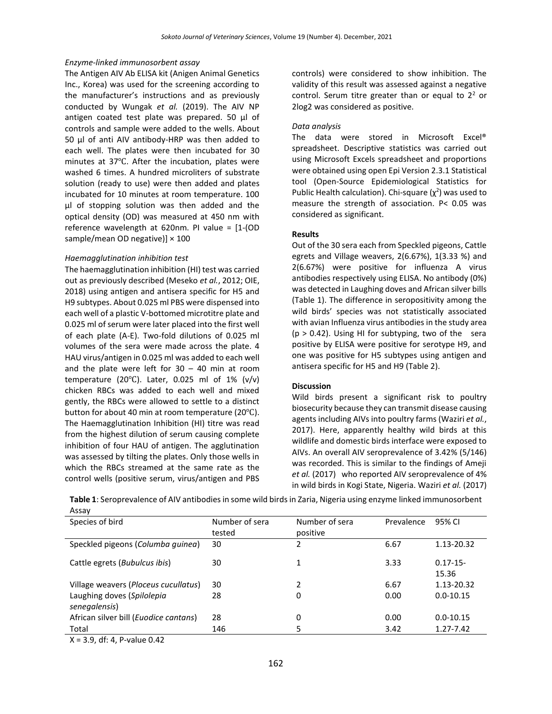#### *Enzyme-linked immunosorbent assay*

The Antigen AIV Ab ELISA kit (Anigen Animal Genetics Inc., Korea) was used for the screening according to the manufacturer's instructions and as previously conducted by Wungak *et al.* (2019). The AIV NP antigen coated test plate was prepared. 50 µl of controls and sample were added to the wells. About 50 µl of anti AIV antibody-HRP was then added to each well. The plates were then incubated for 30 minutes at 37℃. After the incubation, plates were washed 6 times. A hundred microliters of substrate solution (ready to use) were then added and plates incubated for 10 minutes at room temperature. 100 µl of stopping solution was then added and the optical density (OD) was measured at 450 nm with reference wavelength at 620nm. PI value = [1-(OD sample/mean OD negative)]  $\times$  100

#### *Haemagglutination inhibition test*

The haemagglutination inhibition (HI) test was carried out as previously described (Meseko *et al.*, 2012; OIE, 2018) using antigen and antisera specific for H5 and H9 subtypes. About 0.025 ml PBS were dispensed into each well of a plastic V-bottomed microtitre plate and 0.025 ml of serum were later placed into the first well of each plate (A-E). Two-fold dilutions of 0.025 ml volumes of the sera were made across the plate. 4 HAU virus/antigen in 0.025 ml was added to each well and the plate were left for  $30 - 40$  min at room temperature (20 $°C$ ). Later, 0.025 ml of 1% (v/v) chicken RBCs was added to each well and mixed gently, the RBCs were allowed to settle to a distinct button for about 40 min at room temperature (20℃). The Haemagglutination Inhibition (HI) titre was read from the highest dilution of serum causing complete inhibition of four HAU of antigen. The agglutination was assessed by tilting the plates. Only those wells in which the RBCs streamed at the same rate as the control wells (positive serum, virus/antigen and PBS controls) were considered to show inhibition. The validity of this result was assessed against a negative control. Serum titre greater than or equal to  $2<sup>2</sup>$  or 2log2 was considered as positive.

### *Data analysis*

The data were stored in Microsoft Excel® spreadsheet. Descriptive statistics was carried out using Microsoft Excels spreadsheet and proportions were obtained using open Epi Version 2.3.1 Statistical tool (Open-Source Epidemiological Statistics for Public Health calculation). Chi-square  $(\chi^2)$  was used to measure the strength of association. P< 0.05 was considered as significant.

#### **Results**

Out of the 30 sera each from Speckled pigeons, Cattle egrets and Village weavers, 2(6.67%), 1(3.33 %) and 2(6.67%) were positive for influenza A virus antibodies respectively using ELISA. No antibody (0%) was detected in Laughing doves and African silver bills (Table 1). The difference in seropositivity among the wild birds' species was not statistically associated with avian Influenza virus antibodies in the study area  $(p > 0.42)$ . Using HI for subtyping, two of the sera positive by ELISA were positive for serotype H9, and one was positive for H5 subtypes using antigen and antisera specific for H5 and H9 (Table 2).

## **Discussion**

Wild birds present a significant risk to poultry biosecurity because they can transmit disease causing agents including AIVs into poultry farms (Waziri *et al.*, 2017). Here, apparently healthy wild birds at this wildlife and domestic birds interface were exposed to AIVs. An overall AIV seroprevalence of 3.42% (5/146) was recorded. This is similar to the findings of Ameji *et al.* (2017) who reported AIV seroprevalence of 4% in wild birds in Kogi State, Nigeria. Waziri *et al.* (2017)

**Table 1**: Seroprevalence of AIV antibodies in some wild birds in Zaria, Nigeria using enzyme linked immunosorbent Assay

| Species of bird                                | Number of sera<br>tested | Number of sera<br>positive | Prevalence | 95% CI               |
|------------------------------------------------|--------------------------|----------------------------|------------|----------------------|
| Speckled pigeons (Columba guinea)              | 30                       | 2                          | 6.67       | 1.13-20.32           |
| Cattle egrets (Bubulcus ibis)                  | 30                       |                            | 3.33       | $0.17 - 15$<br>15.36 |
| Village weavers (Ploceus cucullatus)           | 30                       |                            | 6.67       | 1.13-20.32           |
| Laughing doves (Spilolepia<br>senegalensis)    | 28                       | 0                          | 0.00       | $0.0 - 10.15$        |
| African silver bill ( <i>Euodice cantans</i> ) | 28                       | 0                          | 0.00       | $0.0 - 10.15$        |
| Total                                          | 146                      |                            | 3.42       | 1.27-7.42            |

X = 3.9, df: 4, P-value 0.42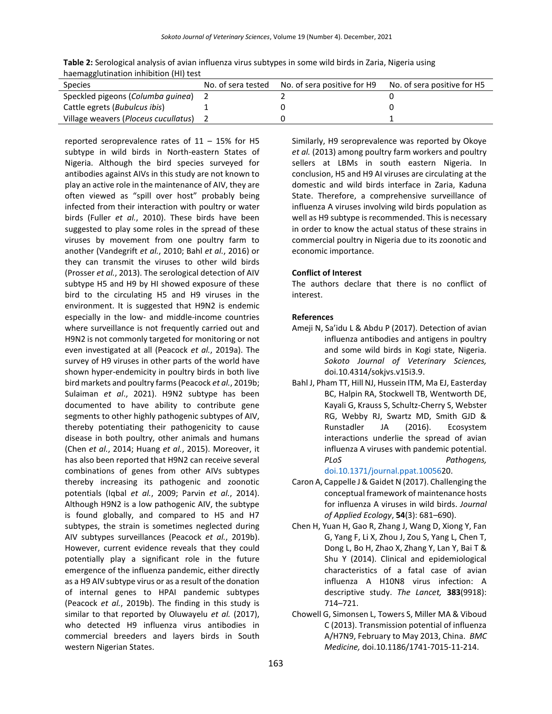**Table 2:** Serological analysis of avian influenza virus subtypes in some wild birds in Zaria, Nigeria using haemagglutination inhibition (HI) test

| Species                              | No. of sera tested No. of sera positive for H9 | No. of sera positive for H5 |
|--------------------------------------|------------------------------------------------|-----------------------------|
| Speckled pigeons (Columba guinea)    |                                                |                             |
| Cattle egrets (Bubulcus ibis)        |                                                |                             |
| Village weavers (Ploceus cucullatus) |                                                |                             |

reported seroprevalence rates of  $11 - 15\%$  for H5 subtype in wild birds in North-eastern States of Nigeria. Although the bird species surveyed for antibodies against AIVs in this study are not known to play an active role in the maintenance of AIV, they are often viewed as "spill over host" probably being infected from their interaction with poultry or water birds (Fuller *et al.*, 2010). These birds have been suggested to play some roles in the spread of these viruses by movement from one poultry farm to another (Vandegrift *et al.*, 2010; Bahl *et al.*, 2016) or they can transmit the viruses to other wild birds (Prosser *et al.*, 2013). The serological detection of AIV subtype H5 and H9 by HI showed exposure of these bird to the circulating H5 and H9 viruses in the environment. It is suggested that H9N2 is endemic especially in the low- and middle-income countries where surveillance is not frequently carried out and H9N2 is not commonly targeted for monitoring or not even investigated at all (Peacock *et al.*, 2019a). The survey of H9 viruses in other parts of the world have shown hyper-endemicity in poultry birds in both live bird markets and poultry farms (Peacock *et al.*, 2019b; Sulaiman *et al*., 2021). H9N2 subtype has been documented to have ability to contribute gene segments to other highly pathogenic subtypes of AIV, thereby potentiating their pathogenicity to cause disease in both poultry, other animals and humans (Chen *et al.*, 2014; Huang *et al.*, 2015). Moreover, it has also been reported that H9N2 can receive several combinations of genes from other AIVs subtypes thereby increasing its pathogenic and zoonotic potentials (Iqbal *et al.*, 2009; Parvin *et al.*, 2014). Although H9N2 is a low pathogenic AIV, the subtype is found globally, and compared to H5 and H7 subtypes, the strain is sometimes neglected during AIV subtypes surveillances (Peacock *et al.*, 2019b). However, current evidence reveals that they could potentially play a significant role in the future emergence of the influenza pandemic, either directly as a H9 AIV subtype virus or as a result of the donation of internal genes to HPAI pandemic subtypes (Peacock *et al.*, 2019b). The finding in this study is similar to that reported by Oluwayelu *et al.* (2017), who detected H9 influenza virus antibodies in commercial breeders and layers birds in South western Nigerian States.

Similarly, H9 seroprevalence was reported by Okoye *et al.* (2013) among poultry farm workers and poultry sellers at LBMs in south eastern Nigeria. In conclusion, H5 and H9 AI viruses are circulating at the domestic and wild birds interface in Zaria, Kaduna State. Therefore, a comprehensive surveillance of influenza A viruses involving wild birds population as well as H9 subtype is recommended. This is necessary in order to know the actual status of these strains in commercial poultry in Nigeria due to its zoonotic and economic importance.

## **Conflict of Interest**

The authors declare that there is no conflict of interest.

## **References**

- Ameji N, Sa'idu L & Abdu P (2017). Detection of avian influenza antibodies and antigens in poultry and some wild birds in Kogi state, Nigeria. *Sokoto Journal of Veterinary Sciences,* doi.10.4314/sokjvs.v15i3.9.
- Bahl J, Pham TT, Hill NJ, Hussein ITM, Ma EJ, Easterday BC, Halpin RA, Stockwell TB, Wentworth DE, Kayali G, Krauss S, Schultz-Cherry S, Webster RG, Webby RJ, Swartz MD, Smith GJD & Runstadler JA (2016). Ecosystem interactions underlie the spread of avian influenza A viruses with pandemic potential. *PLoS Pathogens,* [doi.10.1371/journal.ppat.100562](https://doi.org/10.1371/journal.ppat.10056)0.
- Caron A, Cappelle J & Gaidet N (2017). Challenging the conceptual framework of maintenance hosts for influenza A viruses in wild birds. *Journal of Applied Ecology*, **54**(3): 681–690).
- Chen H, Yuan H, Gao R, Zhang J, Wang D, Xiong Y, Fan G, Yang F, Li X, Zhou J, Zou S, Yang L, Chen T, Dong L, Bo H, Zhao X, Zhang Y, Lan Y, Bai T & Shu Y (2014). Clinical and epidemiological characteristics of a fatal case of avian influenza A H10N8 virus infection: A descriptive study. *The Lancet,* **383**(9918): 714–721.
- Chowell G, Simonsen L, Towers S, Miller MA & Viboud C (2013). Transmission potential of influenza A/H7N9, February to May 2013, China. *BMC Medicine,* doi.10.1186/1741-7015-11-214.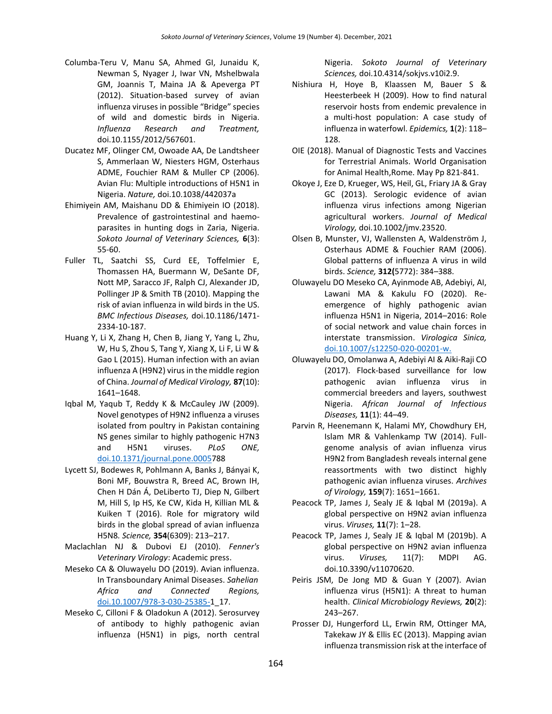- Columba-Teru V, Manu SA, Ahmed GI, Junaidu K, Newman S, Nyager J, Iwar VN, Mshelbwala GM, Joannis T, Maina JA & Apeverga PT (2012). Situation-based survey of avian influenza viruses in possible "Bridge" species of wild and domestic birds in Nigeria. *Influenza Research and Treatment,*  doi.10.1155/2012/567601.
- Ducatez MF, Olinger CM, Owoade AA, De Landtsheer S, Ammerlaan W, Niesters HGM, Osterhaus ADME, Fouchier RAM & Muller CP (2006). Avian Flu: Multiple introductions of H5N1 in Nigeria. *Nature,* doi.10.1038/442037a
- Ehimiyein AM, Maishanu DD & Ehimiyein IO (2018). Prevalence of gastrointestinal and haemoparasites in hunting dogs in Zaria, Nigeria. *Sokoto Journal of Veterinary Sciences,* **6**(3): 55-60.
- Fuller TL, Saatchi SS, Curd EE, Toffelmier E, Thomassen HA, Buermann W, DeSante DF, Nott MP, Saracco JF, Ralph CJ, Alexander JD, Pollinger JP & Smith TB (2010). Mapping the risk of avian influenza in wild birds in the US. *BMC Infectious Diseases,* doi.10.1186/1471- 2334-10-187.
- Huang Y, Li X, Zhang H, Chen B, Jiang Y, Yang L, Zhu, W, Hu S, Zhou S, Tang Y, Xiang X, Li F, Li W & Gao L (2015). Human infection with an avian influenza A (H9N2) virus in the middle region of China. *Journal of Medical Virology,* **87**(10): 1641–1648.
- Iqbal M, Yaqub T, Reddy K & McCauley JW (2009). Novel genotypes of H9N2 influenza a viruses isolated from poultry in Pakistan containing NS genes similar to highly pathogenic H7N3 and H5N1 viruses. *PLoS ONE,* [doi.10.1371/journal.pone.00057](https://doi.org/10.1371/journal.pone.0005)88
- Lycett SJ, Bodewes R, Pohlmann A, Banks J, Bányai K, Boni MF, Bouwstra R, Breed AC, Brown IH, Chen H Dán Á, DeLiberto TJ, Diep N, Gilbert M, Hill S, Ip HS, Ke CW, Kida H, Killian ML & Kuiken T (2016). Role for migratory wild birds in the global spread of avian influenza H5N8*. Science,* **354**(6309): 213–217.
- Maclachlan NJ & Dubovi EJ (2010). *Fenner's Veterinary Virology*: Academic press.
- Meseko CA & Oluwayelu DO (2019). Avian influenza. In Transboundary Animal Diseases. *Sahelian Africa and Connected Regions,* [doi.10.1007/978-3-030-25385-1](https://doi.org/10.1007/978-3-030-25385-)\_17.
- Meseko C, Cilloni F & Oladokun A (2012). Serosurvey of antibody to highly pathogenic avian influenza (H5N1) in pigs, north central

Nigeria. *Sokoto Journal of Veterinary Sciences,* doi.10.4314/sokjvs.v10i2.9.

- Nishiura H, Hoye B, Klaassen M, Bauer S & Heesterbeek H (2009). How to find natural reservoir hosts from endemic prevalence in a multi-host population: A case study of influenza in waterfowl. *Epidemics,* **1**(2): 118– 128.
- OIE (2018). Manual of Diagnostic Tests and Vaccines for Terrestrial Animals. World Organisation for Animal Health,Rome. May Pp 821-841.
- Okoye J, Eze D, Krueger, WS, Heil, GL, Friary JA & Gray GC (2013). Serologic evidence of avian influenza virus infections among Nigerian agricultural workers. *Journal of Medical Virology,* doi.10.1002/jmv.23520.
- Olsen B, Munster, VJ, Wallensten A, Waldenström J, Osterhaus ADME & Fouchier RAM (2006). Global patterns of influenza A virus in wild birds. *Science,* **312(**5772): 384–388.
- Oluwayelu DO Meseko CA, Ayinmode AB, Adebiyi, AI, Lawani MA & Kakulu FO (2020). Reemergence of highly pathogenic avian influenza H5N1 in Nigeria, 2014–2016: Role of social network and value chain forces in interstate transmission. *Virologica Sinica,* [doi.10.1007/s12250-020-00201-w](https://doi.org/10.1007/s12250-020-00201-).
- Oluwayelu DO, Omolanwa A, Adebiyi AI & Aiki-Raji CO (2017). Flock-based surveillance for low pathogenic avian influenza virus in commercial breeders and layers, southwest Nigeria. *African Journal of Infectious Diseases,* **11**(1): 44–49.
- Parvin R, Heenemann K, Halami MY, Chowdhury EH, Islam MR & Vahlenkamp TW (2014). Fullgenome analysis of avian influenza virus H9N2 from Bangladesh reveals internal gene reassortments with two distinct highly pathogenic avian influenza viruses. *Archives of Virology,* **159**(7): 1651–1661.
- Peacock TP, James J, Sealy JE & Iqbal M (2019a). A global perspective on H9N2 avian influenza virus. *Viruses,* **11**(7): 1–28.
- Peacock TP, James J, Sealy JE & Iqbal M (2019b). A global perspective on H9N2 avian influenza virus. *Viruses,* 11(7): MDPI AG. doi.10.3390/v11070620.
- Peiris JSM, De Jong MD & Guan Y (2007). Avian influenza virus (H5N1): A threat to human health. *Clinical Microbiology Reviews,* **20**(2): 243–267.
- Prosser DJ, Hungerford LL, Erwin RM, Ottinger MA, Takekaw JY & Ellis EC (2013). Mapping avian influenza transmission risk at the interface of